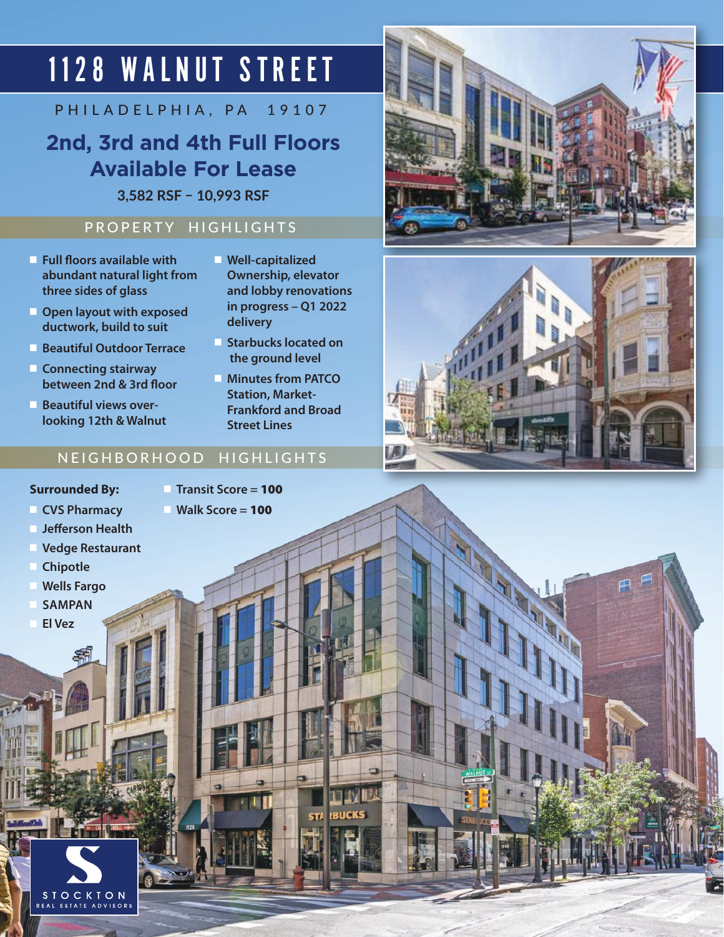# 1128 WALNUT STREET

PHILADELPHIA, PA 19107

### **2nd, 3rd and 4th Full Floors Available For Lease**

**3,582 RSF – 10,993 RSF**

#### PROPERTY HIGHLIGHTS

- n **Full floors available with abundant natural light from three sides of glass**
- **n** Open layout with exposed **ductwork, build to suit**
- **n** Beautiful Outdoor Terrace
- **n** Connecting stairway **between 2nd & 3rd floor**
- **Beautiful views overlooking 12th & Walnut**
- **n** Well-capitalized **Ownership, elevator and lobby renovations in progress – Q1 2022 delivery**
- **n** Starbucks located on  **the ground level**
- **n** Minutes from PATCO **Station, Market-Frankford and Broad Street Lines**

**TENIM** 

#### NEIGHBORHOOD HIGHLIGHTS

#### **Surrounded By:**

n **Transit Score =** 100

**n CVS Pharmacy** 

n **Walk Score =** 100

- n **Jefferson Health**
- **Vedge Restaurant**
- **Chipotle**
- **Wells Fargo**
- n **SAMPAN**
- n **El Vez**